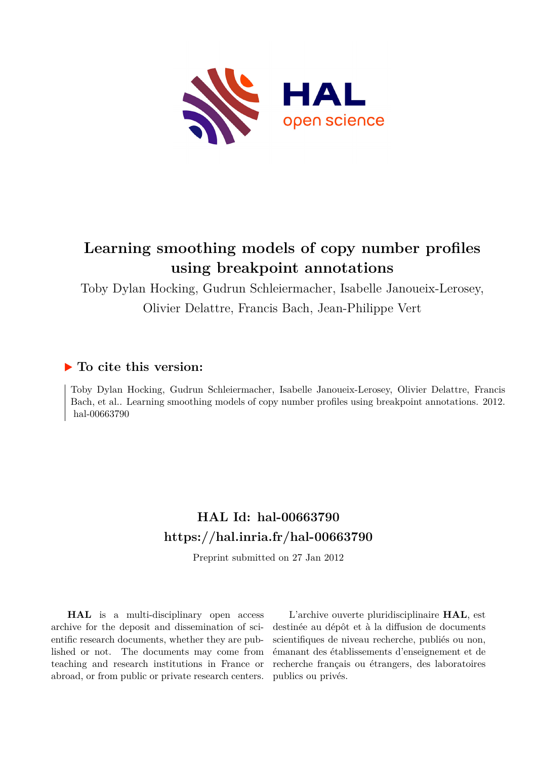

# **Learning smoothing models of copy number profiles using breakpoint annotations**

Toby Dylan Hocking, Gudrun Schleiermacher, Isabelle Janoueix-Lerosey,

Olivier Delattre, Francis Bach, Jean-Philippe Vert

## **To cite this version:**

Toby Dylan Hocking, Gudrun Schleiermacher, Isabelle Janoueix-Lerosey, Olivier Delattre, Francis Bach, et al.. Learning smoothing models of copy number profiles using breakpoint annotations. 2012. hal-00663790

## **HAL Id: hal-00663790 <https://hal.inria.fr/hal-00663790>**

Preprint submitted on 27 Jan 2012

**HAL** is a multi-disciplinary open access archive for the deposit and dissemination of scientific research documents, whether they are published or not. The documents may come from teaching and research institutions in France or abroad, or from public or private research centers.

L'archive ouverte pluridisciplinaire **HAL**, est destinée au dépôt et à la diffusion de documents scientifiques de niveau recherche, publiés ou non, émanant des établissements d'enseignement et de recherche français ou étrangers, des laboratoires publics ou privés.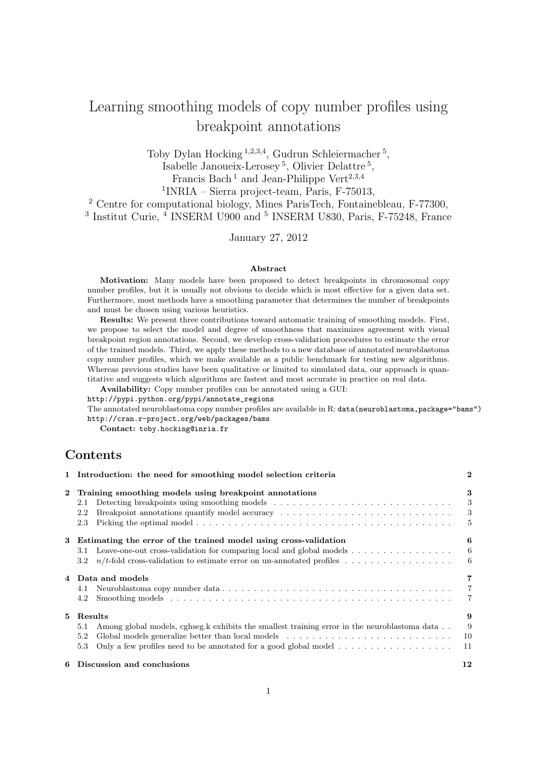## Learning smoothing models of copy number profiles using breakpoint annotations

Toby Dylan Hocking<sup>1,2,3,4</sup>, Gudrun Schleiermacher<sup>5</sup>, Isabelle Janoueix-Lerosey <sup>5</sup> , Olivier Delattre <sup>5</sup> ,

Francis Bach<sup>1</sup> and Jean-Philippe Vert<sup>2,3,4</sup>

1 INRIA – Sierra project-team, Paris, F-75013,

<sup>2</sup> Centre for computational biology, Mines ParisTech, Fontainebleau, F-77300, <sup>3</sup> Institut Curie,  $\frac{4}{3}$  INSERM U900 and <sup>5</sup> INSERM U830, Paris, F-75248, France

January 27, 2012

#### Abstract

Motivation: Many models have been proposed to detect breakpoints in chromosomal copy number profiles, but it is usually not obvious to decide which is most effective for a given data set. Furthermore, most methods have a smoothing parameter that determines the number of breakpoints and must be chosen using various heuristics.

Results: We present three contributions toward automatic training of smoothing models. First, we propose to select the model and degree of smoothness that maximizes agreement with visual breakpoint region annotations. Second, we develop cross-validation procedures to estimate the error of the trained models. Third, we apply these methods to a new database of annotated neuroblastoma copy number profiles, which we make available as a public benchmark for testing new algorithms. Whereas previous studies have been qualitative or limited to simulated data, our approach is quantitative and suggests which algorithms are fastest and most accurate in practice on real data.

Availability: Copy number profiles can be annotated using a GUI:

http://pypi.python.org/pypi/annotate\_regions

The annotated neuroblastoma copy number profiles are available in R: data(neuroblastoma,package="bams") http://cran.r-project.org/web/packages/bams

Contact: toby.hocking@inria.fr

## **Contents**

|              | 1 Introduction: the need for smoothing model selection criteria                                                           | $\bf{2}$       |
|--------------|---------------------------------------------------------------------------------------------------------------------------|----------------|
| $\mathbf{2}$ | Training smoothing models using breakpoint annotations                                                                    | 3              |
|              | Detecting breakpoints using smoothing models<br>2.1                                                                       | 3              |
|              | Breakpoint annotations quantify model accuracy $\dots \dots \dots \dots \dots \dots \dots \dots \dots \dots \dots$<br>2.2 | 3              |
|              | 2.3                                                                                                                       | 5              |
| 3            | Estimating the error of the trained model using cross-validation                                                          | 6              |
|              | Leave-one-out cross-validation for comparing local and global models $\dots \dots \dots \dots \dots$<br>3.1               | 6              |
|              | $3.2^{\circ}$                                                                                                             | 6              |
|              | Data and models                                                                                                           | 7              |
|              | 4.1                                                                                                                       | $\overline{7}$ |
|              | 4.2                                                                                                                       | 7              |
| 5.           | Results                                                                                                                   | 9              |
|              | Among global models, cghseg.k exhibits the smallest training error in the neuroblastoma data<br>5.1                       | 9              |
|              | 5.2                                                                                                                       | -10            |
|              | Only a few profiles need to be annotated for a good global model $\dots \dots \dots \dots \dots \dots$<br>5.3             | 11             |
|              | 6 Discussion and conclusions                                                                                              | 12             |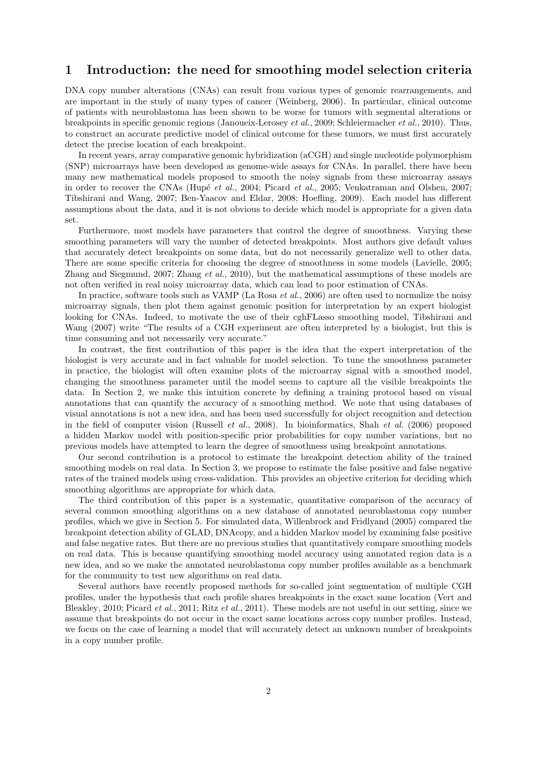## 1 Introduction: the need for smoothing model selection criteria

DNA copy number alterations (CNAs) can result from various types of genomic rearrangements, and are important in the study of many types of cancer (Weinberg, 2006). In particular, clinical outcome of patients with neuroblastoma has been shown to be worse for tumors with segmental alterations or breakpoints in specific genomic regions (Janoueix-Lerosey *et al.*, 2009; Schleiermacher *et al.*, 2010). Thus, to construct an accurate predictive model of clinical outcome for these tumors, we must first accurately detect the precise location of each breakpoint.

In recent years, array comparative genomic hybridization (aCGH) and single nucleotide polymorphism (SNP) microarrays have been developed as genome-wide assays for CNAs. In parallel, there have been many new mathematical models proposed to smooth the noisy signals from these microarray assays in order to recover the CNAs (Hupé *et al.*, 2004; Picard *et al.*, 2005; Venkatraman and Olshen, 2007; Tibshirani and Wang, 2007; Ben-Yaacov and Eldar, 2008; Hoefling, 2009). Each model has different assumptions about the data, and it is not obvious to decide which model is appropriate for a given data set.

Furthermore, most models have parameters that control the degree of smoothness. Varying these smoothing parameters will vary the number of detected breakpoints. Most authors give default values that accurately detect breakpoints on some data, but do not necessarily generalize well to other data. There are some specific criteria for choosing the degree of smoothness in some models (Lavielle, 2005; Zhang and Siegmund, 2007; Zhang *et al.*, 2010), but the mathematical assumptions of these models are not often verified in real noisy microarray data, which can lead to poor estimation of CNAs.

In practice, software tools such as VAMP (La Rosa *et al.*, 2006) are often used to normalize the noisy microarray signals, then plot them against genomic position for interpretation by an expert biologist looking for CNAs. Indeed, to motivate the use of their cghFLasso smoothing model, Tibshirani and Wang (2007) write "The results of a CGH experiment are often interpreted by a biologist, but this is time consuming and not necessarily very accurate."

In contrast, the first contribution of this paper is the idea that the expert interpretation of the biologist is very accurate and in fact valuable for model selection. To tune the smoothness parameter in practice, the biologist will often examine plots of the microarray signal with a smoothed model, changing the smoothness parameter until the model seems to capture all the visible breakpoints the data. In Section 2, we make this intuition concrete by defining a training protocol based on visual annotations that can quantify the accuracy of a smoothing method. We note that using databases of visual annotations is not a new idea, and has been used successfully for object recognition and detection in the field of computer vision (Russell *et al.*, 2008). In bioinformatics, Shah *et al.* (2006) proposed a hidden Markov model with position-specific prior probabilities for copy number variations, but no previous models have attempted to learn the degree of smoothness using breakpoint annotations.

Our second contribution is a protocol to estimate the breakpoint detection ability of the trained smoothing models on real data. In Section 3, we propose to estimate the false positive and false negative rates of the trained models using cross-validation. This provides an objective criterion for deciding which smoothing algorithms are appropriate for which data.

The third contribution of this paper is a systematic, quantitative comparison of the accuracy of several common smoothing algorithms on a new database of annotated neuroblastoma copy number profiles, which we give in Section 5. For simulated data, Willenbrock and Fridlyand (2005) compared the breakpoint detection ability of GLAD, DNAcopy, and a hidden Markov model by examining false positive and false negative rates. But there are no previous studies that quantitatively compare smoothing models on real data. This is because quantifying smoothing model accuracy using annotated region data is a new idea, and so we make the annotated neuroblastoma copy number profiles available as a benchmark for the community to test new algorithms on real data.

Several authors have recently proposed methods for so-called joint segmentation of multiple CGH profiles, under the hypothesis that each profile shares breakpoints in the exact same location (Vert and Bleakley, 2010; Picard *et al.*, 2011; Ritz *et al.*, 2011). These models are not useful in our setting, since we assume that breakpoints do not occur in the exact same locations across copy number profiles. Instead, we focus on the case of learning a model that will accurately detect an unknown number of breakpoints in a copy number profile.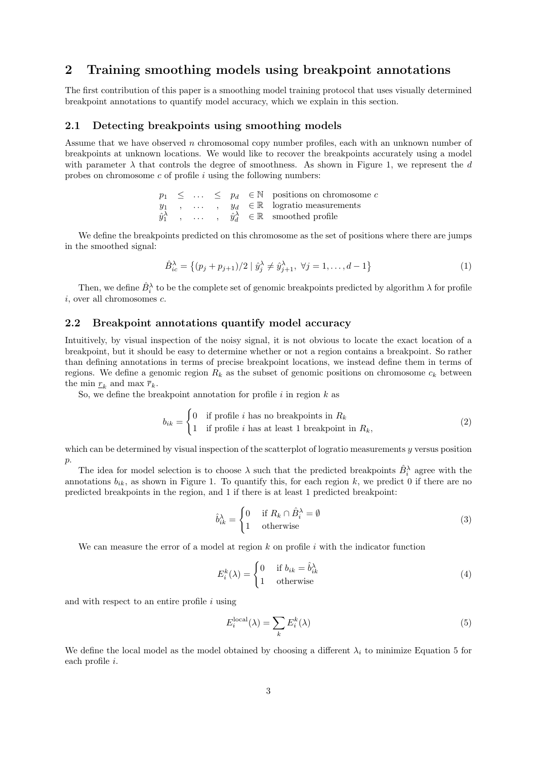## 2 Training smoothing models using breakpoint annotations

The first contribution of this paper is a smoothing model training protocol that uses visually determined breakpoint annotations to quantify model accuracy, which we explain in this section.

#### 2.1 Detecting breakpoints using smoothing models

Assume that we have observed n chromosomal copy number profiles, each with an unknown number of breakpoints at unknown locations. We would like to recover the breakpoints accurately using a model with parameter  $\lambda$  that controls the degree of smoothness. As shown in Figure 1, we represent the d probes on chromosome  $c$  of profile  $i$  using the following numbers:

> $p_1 \leq \ldots \leq p_d \in \mathbb{N}$  positions on chromosome c  $y_1$ , ...,  $y_d \in \mathbb{R}$  logratio measurements  $\hat{y}_1^{\lambda}$  , ... ,  $\hat{y}_d^{\lambda} \in \mathbb{R}$  smoothed profile

We define the breakpoints predicted on this chromosome as the set of positions where there are jumps in the smoothed signal:

$$
\hat{B}_{ic}^{\lambda} = \{(p_j + p_{j+1})/2 \mid \hat{y}_j^{\lambda} \neq \hat{y}_{j+1}^{\lambda}, \ \forall j = 1, ..., d-1\}
$$
\n(1)

Then, we define  $\hat{B}_i^{\lambda}$  to be the complete set of genomic breakpoints predicted by algorithm  $\lambda$  for profile i, over all chromosomes c.

#### 2.2 Breakpoint annotations quantify model accuracy

Intuitively, by visual inspection of the noisy signal, it is not obvious to locate the exact location of a breakpoint, but it should be easy to determine whether or not a region contains a breakpoint. So rather than defining annotations in terms of precise breakpoint locations, we instead define them in terms of regions. We define a genomic region  $R_k$  as the subset of genomic positions on chromosome  $c_k$  between the min  $r_k$  and max  $\bar{r}_k$ .

So, we define the breakpoint annotation for profile  $i$  in region  $k$  as

$$
b_{ik} = \begin{cases} 0 & \text{if profile } i \text{ has no breakdowns in } R_k \\ 1 & \text{if profile } i \text{ has at least 1 breakdownt in } R_k, \end{cases}
$$
 (2)

which can be determined by visual inspection of the scatterplot of logratio measurements  $y$  versus position  $p$ .

The idea for model selection is to choose  $\lambda$  such that the predicted breakpoints  $\hat{B}_i^{\lambda}$  agree with the annotations  $b_{ik}$ , as shown in Figure 1. To quantify this, for each region k, we predict 0 if there are no predicted breakpoints in the region, and 1 if there is at least 1 predicted breakpoint:

$$
\hat{b}_{ik}^{\lambda} = \begin{cases} 0 & \text{if } R_k \cap \hat{B}_i^{\lambda} = \emptyset \\ 1 & \text{otherwise} \end{cases}
$$
\n(3)

We can measure the error of a model at region  $k$  on profile  $i$  with the indicator function

$$
E_i^k(\lambda) = \begin{cases} 0 & \text{if } b_{ik} = \hat{b}_{ik}^{\lambda} \\ 1 & \text{otherwise} \end{cases}
$$
 (4)

and with respect to an entire profile  $i$  using

$$
E_i^{\text{local}}(\lambda) = \sum_k E_i^k(\lambda) \tag{5}
$$

We define the local model as the model obtained by choosing a different  $\lambda_i$  to minimize Equation 5 for each profile i.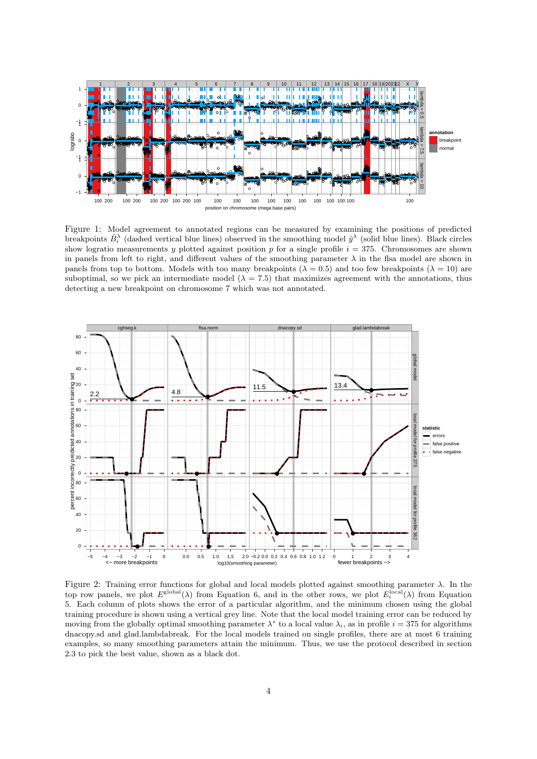

Figure 1: Model agreement to annotated regions can be measured by examining the positions of predicted breakpoints  $\hat{B}_i^{\lambda}$  (dashed vertical blue lines) observed in the smoothing model  $\hat{y}^{\lambda}$  (solid blue lines). Black circles show logratio measurements y plotted against position p for a single profile  $i = 375$ . Chromosomes are shown in panels from left to right, and different values of the smoothing parameter  $\lambda$  in the flsa model are shown in panels from top to bottom. Models with too many breakpoints ( $\lambda = 0.5$ ) and too few breakpoints ( $\lambda = 10$ ) are suboptimal, so we pick an intermediate model ( $\lambda = 7.5$ ) that maximizes agreement with the annotations, thus detecting a new breakpoint on chromosome 7 which was not annotated.



Figure 2: Training error functions for global and local models plotted against smoothing parameter  $\lambda$ . In the top row panels, we plot  $E^{\text{global}}(\lambda)$  from Equation 6, and in the other rows, we plot  $E_i^{\text{local}}(\lambda)$  from Equation 5. Each column of plots shows the error of a particular algorithm, and the minimum chosen using the global training procedure is shown using a vertical grey line. Note that the local model training error can be reduced by moving from the globally optimal smoothing parameter  $\lambda^*$  to a local value  $\lambda_i$ , as in profile  $i = 375$  for algorithms dnacopy.sd and glad.lambdabreak. For the local models trained on single profiles, there are at most 6 training examples, so many smoothing parameters attain the minimum. Thus, we use the protocol described in section 2.3 to pick the best value, shown as a black dot.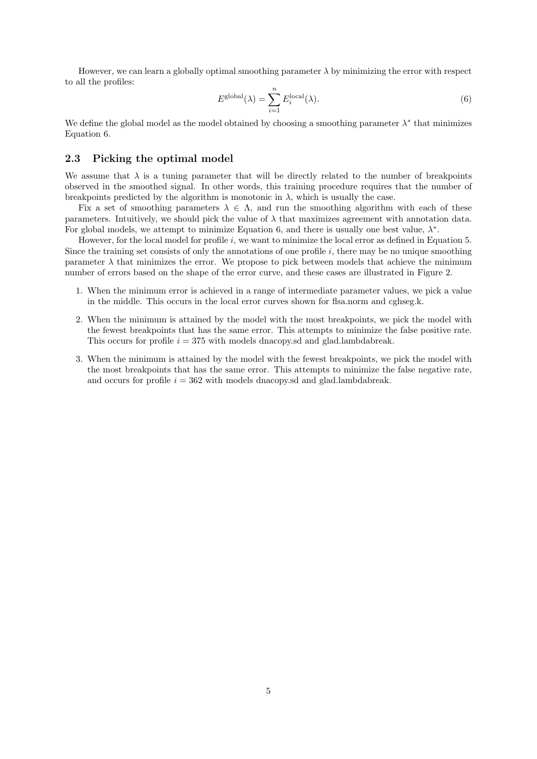However, we can learn a globally optimal smoothing parameter  $\lambda$  by minimizing the error with respect to all the profiles:

$$
E^{\text{global}}(\lambda) = \sum_{i=1}^{n} E_i^{\text{local}}(\lambda). \tag{6}
$$

We define the global model as the model obtained by choosing a smoothing parameter  $\lambda^*$  that minimizes Equation 6.

#### 2.3 Picking the optimal model

We assume that  $\lambda$  is a tuning parameter that will be directly related to the number of breakpoints observed in the smoothed signal. In other words, this training procedure requires that the number of breakpoints predicted by the algorithm is monotonic in  $\lambda$ , which is usually the case.

Fix a set of smoothing parameters  $\lambda \in \Lambda$ , and run the smoothing algorithm with each of these parameters. Intuitively, we should pick the value of  $\lambda$  that maximizes agreement with annotation data. For global models, we attempt to minimize Equation 6, and there is usually one best value,  $\lambda^*$ .

However, for the local model for profile  $i$ , we want to minimize the local error as defined in Equation 5. Since the training set consists of only the annotations of one profile  $i$ , there may be no unique smoothing parameter  $\lambda$  that minimizes the error. We propose to pick between models that achieve the minimum number of errors based on the shape of the error curve, and these cases are illustrated in Figure 2.

- 1. When the minimum error is achieved in a range of intermediate parameter values, we pick a value in the middle. This occurs in the local error curves shown for flsa.norm and cghseg.k.
- 2. When the minimum is attained by the model with the most breakpoints, we pick the model with the fewest breakpoints that has the same error. This attempts to minimize the false positive rate. This occurs for profile  $i = 375$  with models dnacopy. Solved and glad.lambdabreak.
- 3. When the minimum is attained by the model with the fewest breakpoints, we pick the model with the most breakpoints that has the same error. This attempts to minimize the false negative rate, and occurs for profile  $i = 362$  with models dnacopy. Solved and glad. lambdabreak.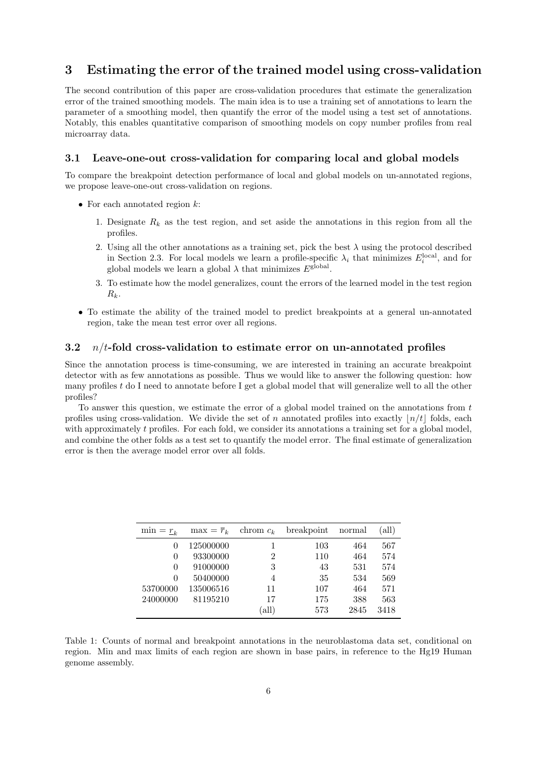## 3 Estimating the error of the trained model using cross-validation

The second contribution of this paper are cross-validation procedures that estimate the generalization error of the trained smoothing models. The main idea is to use a training set of annotations to learn the parameter of a smoothing model, then quantify the error of the model using a test set of annotations. Notably, this enables quantitative comparison of smoothing models on copy number profiles from real microarray data.

#### 3.1 Leave-one-out cross-validation for comparing local and global models

To compare the breakpoint detection performance of local and global models on un-annotated regions, we propose leave-one-out cross-validation on regions.

- For each annotated region  $k$ :
	- 1. Designate  $R_k$  as the test region, and set aside the annotations in this region from all the profiles.
	- 2. Using all the other annotations as a training set, pick the best  $\lambda$  using the protocol described in Section 2.3. For local models we learn a profile-specific  $\lambda_i$  that minimizes  $E_i^{\text{local}}$ , and for global models we learn a global  $\lambda$  that minimizes  $E^{\text{global}}$ .
	- 3. To estimate how the model generalizes, count the errors of the learned model in the test region  $R_k$ .
- To estimate the ability of the trained model to predict breakpoints at a general un-annotated region, take the mean test error over all regions.

#### 3.2  $n/t$ -fold cross-validation to estimate error on un-annotated profiles

Since the annotation process is time-consuming, we are interested in training an accurate breakpoint detector with as few annotations as possible. Thus we would like to answer the following question: how many profiles  $t$  do I need to annotate before I get a global model that will generalize well to all the other profiles?

To answer this question, we estimate the error of a global model trained on the annotations from  $t$ profiles using cross-validation. We divide the set of n annotated profiles into exactly  $|n/t|$  folds, each with approximately t profiles. For each fold, we consider its annotations a training set for a global model, and combine the other folds as a test set to quantify the model error. The final estimate of generalization error is then the average model error over all folds.

| $\min = r_{\iota}$ | $\max = \overline{r}_k$ | chrom $c_k$    | breakpoint | normal | (all) |
|--------------------|-------------------------|----------------|------------|--------|-------|
| $\Omega$           | 125000000               |                | 103        | 464    | 567   |
| $\theta$           | 93300000                | $\overline{2}$ | 110        | 464    | 574   |
| $\theta$           | 91000000                | 3              | 43         | 531    | 574   |
| 0                  | 50400000                | 4              | 35         | 534    | 569   |
| 53700000           | 135006516               | 11             | 107        | 464    | 571   |
| 24000000           | 81195210                | 17             | 175        | 388    | 563   |
|                    |                         | (all)          | 573        | 2845   | 3418  |

Table 1: Counts of normal and breakpoint annotations in the neuroblastoma data set, conditional on region. Min and max limits of each region are shown in base pairs, in reference to the Hg19 Human genome assembly.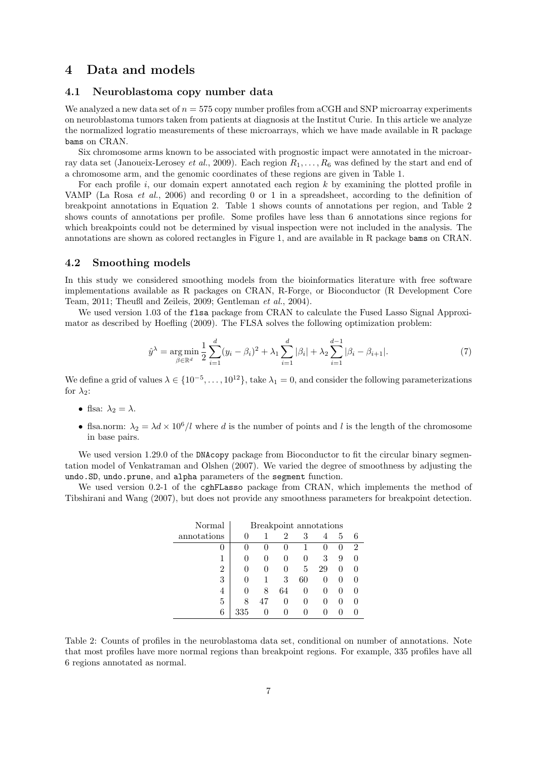### 4 Data and models

#### 4.1 Neuroblastoma copy number data

We analyzed a new data set of  $n = 575$  copy number profiles from aCGH and SNP microarray experiments on neuroblastoma tumors taken from patients at diagnosis at the Institut Curie. In this article we analyze the normalized logratio measurements of these microarrays, which we have made available in R package bams on CRAN.

Six chromosome arms known to be associated with prognostic impact were annotated in the microarray data set (Janoueix-Lerosey *et al.*, 2009). Each region  $R_1, \ldots, R_6$  was defined by the start and end of a chromosome arm, and the genomic coordinates of these regions are given in Table 1.

For each profile i, our domain expert annotated each region  $k$  by examining the plotted profile in VAMP (La Rosa *et al.*, 2006) and recording 0 or 1 in a spreadsheet, according to the definition of breakpoint annotations in Equation 2. Table 1 shows counts of annotations per region, and Table 2 shows counts of annotations per profile. Some profiles have less than 6 annotations since regions for which breakpoints could not be determined by visual inspection were not included in the analysis. The annotations are shown as colored rectangles in Figure 1, and are available in R package bams on CRAN.

#### 4.2 Smoothing models

In this study we considered smoothing models from the bioinformatics literature with free software implementations available as R packages on CRAN, R-Forge, or Bioconductor (R Development Core Team, 2011; Theußl and Zeileis, 2009; Gentleman *et al.*, 2004).

We used version 1.03 of the flsa package from CRAN to calculate the Fused Lasso Signal Approximator as described by Hoefling (2009). The FLSA solves the following optimization problem:

$$
\hat{y}^{\lambda} = \underset{\beta \in \mathbb{R}^d}{\arg \min} \frac{1}{2} \sum_{i=1}^d (y_i - \beta_i)^2 + \lambda_1 \sum_{i=1}^d |\beta_i| + \lambda_2 \sum_{i=1}^{d-1} |\beta_i - \beta_{i+1}|. \tag{7}
$$

We define a grid of values  $\lambda \in \{10^{-5}, \ldots, 10^{12}\},$  take  $\lambda_1 = 0$ , and consider the following parameterizations for  $\lambda_2$ :

- flsa:  $\lambda_2 = \lambda$ .
- flsa.norm:  $\lambda_2 = \lambda d \times 10^6/l$  where d is the number of points and l is the length of the chromosome in base pairs.

We used version 1.29.0 of the DNAcopy package from Bioconductor to fit the circular binary segmentation model of Venkatraman and Olshen (2007). We varied the degree of smoothness by adjusting the undo.SD, undo.prune, and alpha parameters of the segment function.

We used version 0.2-1 of the cghFLasso package from CRAN, which implements the method of Tibshirani and Wang (2007), but does not provide any smoothness parameters for breakpoint detection.

| Normal      | Breakpoint annotations |              |              |    |              |              |                |
|-------------|------------------------|--------------|--------------|----|--------------|--------------|----------------|
| annotations |                        |              | 2            | 3  | 4            | 5            | 6              |
| 0           |                        | $\mathbf{0}$ |              |    | $\mathbf{0}$ | $\theta$     | $\overline{2}$ |
|             |                        |              | $\mathbf{0}$ | 0  | 3            | 9            |                |
| 2           |                        |              |              | 5  | 29           | $\theta$     |                |
| 3           |                        |              | 3            | 60 | $\mathbf{0}$ | $\mathbf{0}$ |                |
| 4           |                        | 8            | 64           | 0  | $\mathbf{0}$ | $\mathbf{0}$ |                |
| 5           |                        | 47           |              |    |              | $\mathbf{0}$ |                |
| 6           | 335                    |              |              |    |              |              |                |

Table 2: Counts of profiles in the neuroblastoma data set, conditional on number of annotations. Note that most profiles have more normal regions than breakpoint regions. For example, 335 profiles have all 6 regions annotated as normal.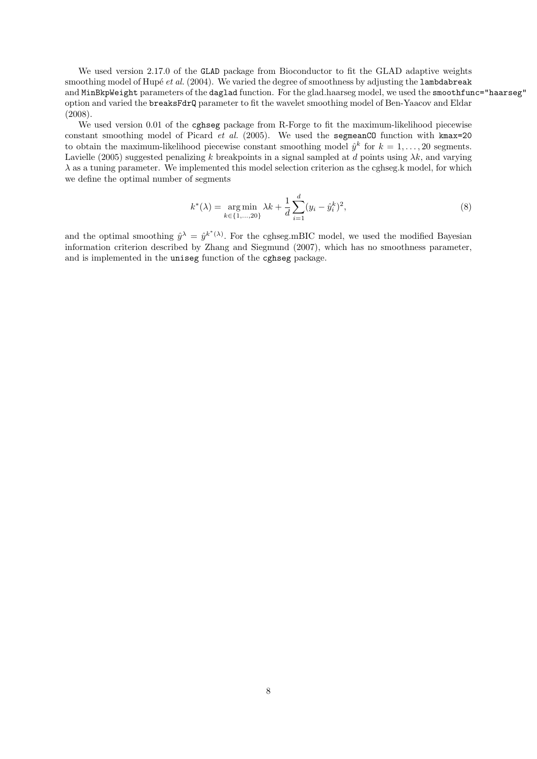We used version 2.17.0 of the GLAD package from Bioconductor to fit the GLAD adaptive weights smoothing model of Hupé *et al.* (2004). We varied the degree of smoothness by adjusting the lambdabreak and MinBkpWeight parameters of the daglad function. For the glad.haarseg model, we used the smoothfunc="haarseg" option and varied the breaksFdrQ parameter to fit the wavelet smoothing model of Ben-Yaacov and Eldar (2008).

We used version 0.01 of the cghseg package from R-Forge to fit the maximum-likelihood piecewise constant smoothing model of Picard *et al.* (2005). We used the segmeanCO function with kmax=20 to obtain the maximum-likelihood piecewise constant smoothing model  $\hat{y}^k$  for  $k = 1, \ldots, 20$  segments. Lavielle (2005) suggested penalizing k breakpoints in a signal sampled at d points using  $\lambda k$ , and varying  $\lambda$  as a tuning parameter. We implemented this model selection criterion as the cghseg.k model, for which we define the optimal number of segments

$$
k^*(\lambda) = \underset{k \in \{1, \dots, 20\}}{\arg \min} \lambda k + \frac{1}{d} \sum_{i=1}^d (y_i - \hat{y}_i^k)^2,
$$
\n(8)

and the optimal smoothing  $\hat{y}^{\lambda} = \hat{y}^{k^{*}(\lambda)}$ . For the cghseg.mBIC model, we used the modified Bayesian information criterion described by Zhang and Siegmund (2007), which has no smoothness parameter, and is implemented in the uniseg function of the cghseg package.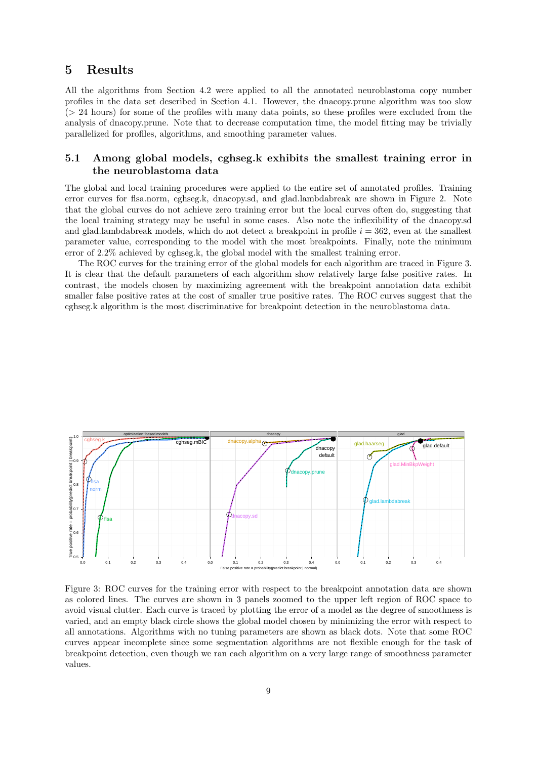## 5 Results

All the algorithms from Section 4.2 were applied to all the annotated neuroblastoma copy number profiles in the data set described in Section 4.1. However, the dnacopy.prune algorithm was too slow (> 24 hours) for some of the profiles with many data points, so these profiles were excluded from the analysis of dnacopy.prune. Note that to decrease computation time, the model fitting may be trivially parallelized for profiles, algorithms, and smoothing parameter values.

#### 5.1 Among global models, cghseg.k exhibits the smallest training error in the neuroblastoma data

The global and local training procedures were applied to the entire set of annotated profiles. Training error curves for flsa.norm, cghseg.k, dnacopy.sd, and glad.lambdabreak are shown in Figure 2. Note that the global curves do not achieve zero training error but the local curves often do, suggesting that the local training strategy may be useful in some cases. Also note the inflexibility of the dnacopy.sd and glad.lambdabreak models, which do not detect a breakpoint in profile  $i = 362$ , even at the smallest parameter value, corresponding to the model with the most breakpoints. Finally, note the minimum error of 2.2% achieved by cghseg.k, the global model with the smallest training error.

The ROC curves for the training error of the global models for each algorithm are traced in Figure 3. It is clear that the default parameters of each algorithm show relatively large false positive rates. In contrast, the models chosen by maximizing agreement with the breakpoint annotation data exhibit smaller false positive rates at the cost of smaller true positive rates. The ROC curves suggest that the cghseg.k algorithm is the most discriminative for breakpoint detection in the neuroblastoma data.



Figure 3: ROC curves for the training error with respect to the breakpoint annotation data are shown as colored lines. The curves are shown in 3 panels zoomed to the upper left region of ROC space to avoid visual clutter. Each curve is traced by plotting the error of a model as the degree of smoothness is varied, and an empty black circle shows the global model chosen by minimizing the error with respect to all annotations. Algorithms with no tuning parameters are shown as black dots. Note that some ROC curves appear incomplete since some segmentation algorithms are not flexible enough for the task of breakpoint detection, even though we ran each algorithm on a very large range of smoothness parameter values.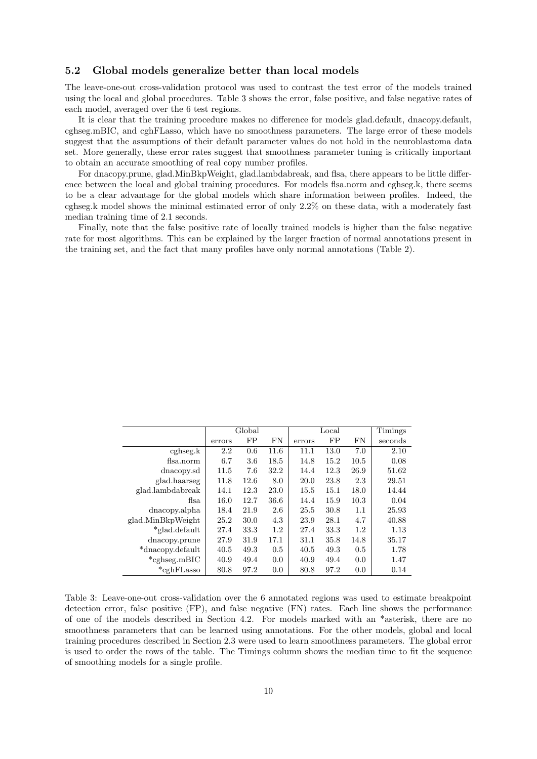#### 5.2 Global models generalize better than local models

The leave-one-out cross-validation protocol was used to contrast the test error of the models trained using the local and global procedures. Table 3 shows the error, false positive, and false negative rates of each model, averaged over the 6 test regions.

It is clear that the training procedure makes no difference for models glad.default, dnacopy.default, cghseg.mBIC, and cghFLasso, which have no smoothness parameters. The large error of these models suggest that the assumptions of their default parameter values do not hold in the neuroblastoma data set. More generally, these error rates suggest that smoothness parameter tuning is critically important to obtain an accurate smoothing of real copy number profiles.

For dnacopy.prune, glad.MinBkpWeight, glad.lambdabreak, and flsa, there appears to be little difference between the local and global training procedures. For models flsa.norm and cghseg.k, there seems to be a clear advantage for the global models which share information between profiles. Indeed, the cghseg.k model shows the minimal estimated error of only 2.2% on these data, with a moderately fast median training time of 2.1 seconds.

Finally, note that the false positive rate of locally trained models is higher than the false negative rate for most algorithms. This can be explained by the larger fraction of normal annotations present in the training set, and the fact that many profiles have only normal annotations (Table 2).

| Global |      |           |        | Timings |           |         |  |
|--------|------|-----------|--------|---------|-----------|---------|--|
| errors | FP   | <b>FN</b> | errors | FP      | <b>FN</b> | seconds |  |
| 2.2    | 0.6  | 11.6      | 11.1   | 13.0    | 7.0       | 2.10    |  |
| 6.7    | 3.6  | 18.5      | 14.8   | 15.2    | 10.5      | 0.08    |  |
| 11.5   | 7.6  | 32.2      | 14.4   | 12.3    | 26.9      | 51.62   |  |
| 11.8   | 12.6 | 8.0       | 20.0   | 23.8    | 2.3       | 29.51   |  |
| 14.1   | 12.3 | 23.0      | 15.5   | 15.1    | 18.0      | 14.44   |  |
| 16.0   | 12.7 | 36.6      | 14.4   | 15.9    | 10.3      | 0.04    |  |
| 18.4   | 21.9 | 2.6       | 25.5   | 30.8    | 1.1       | 25.93   |  |
| 25.2   | 30.0 | 4.3       | 23.9   | 28.1    | 4.7       | 40.88   |  |
| 27.4   | 33.3 | 1.2       | 27.4   | 33.3    | 1.2       | 1.13    |  |
| 27.9   | 31.9 | 17.1      | 31.1   | 35.8    | 14.8      | 35.17   |  |
| 40.5   | 49.3 | 0.5       | 40.5   | 49.3    | 0.5       | 1.78    |  |
| 40.9   | 49.4 | 0.0       | 40.9   | 49.4    | 0.0       | 1.47    |  |
| 80.8   | 97.2 | 0.0       | 80.8   | 97.2    | 0.0       | 0.14    |  |
|        |      |           |        |         | Local     |         |  |

Table 3: Leave-one-out cross-validation over the 6 annotated regions was used to estimate breakpoint detection error, false positive (FP), and false negative (FN) rates. Each line shows the performance of one of the models described in Section 4.2. For models marked with an \*asterisk, there are no smoothness parameters that can be learned using annotations. For the other models, global and local training procedures described in Section 2.3 were used to learn smoothness parameters. The global error is used to order the rows of the table. The Timings column shows the median time to fit the sequence of smoothing models for a single profile.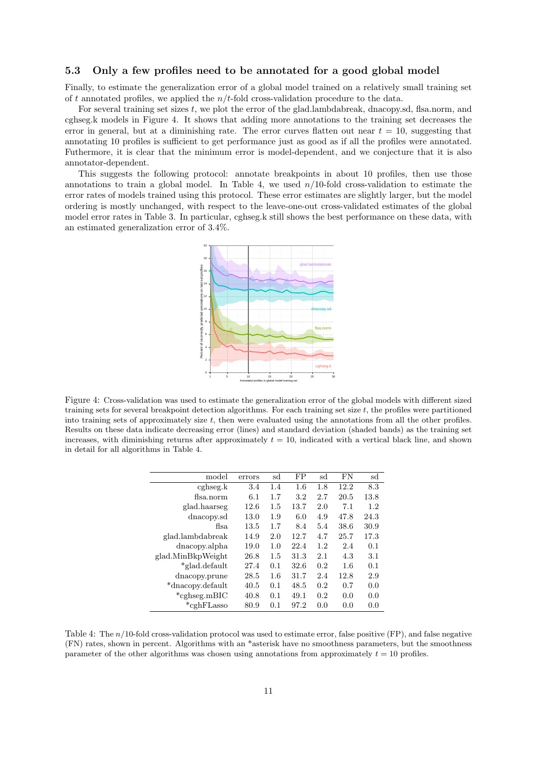#### 5.3 Only a few profiles need to be annotated for a good global model

Finally, to estimate the generalization error of a global model trained on a relatively small training set of t annotated profiles, we applied the  $n/t$ -fold cross-validation procedure to the data.

For several training set sizes t, we plot the error of the glad.lambdabreak, dnacopy.sd, flsa.norm, and cghseg.k models in Figure 4. It shows that adding more annotations to the training set decreases the error in general, but at a diminishing rate. The error curves flatten out near  $t = 10$ , suggesting that annotating 10 profiles is sufficient to get performance just as good as if all the profiles were annotated. Futhermore, it is clear that the minimum error is model-dependent, and we conjecture that it is also annotator-dependent.

This suggests the following protocol: annotate breakpoints in about 10 profiles, then use those annotations to train a global model. In Table 4, we used  $n/10$ -fold cross-validation to estimate the error rates of models trained using this protocol. These error estimates are slightly larger, but the model ordering is mostly unchanged, with respect to the leave-one-out cross-validated estimates of the global model error rates in Table 3. In particular, cghseg.k still shows the best performance on these data, with an estimated generalization error of 3.4%.



Figure 4: Cross-validation was used to estimate the generalization error of the global models with different sized training sets for several breakpoint detection algorithms. For each training set size  $t$ , the profiles were partitioned into training sets of approximately size t, then were evaluated using the annotations from all the other profiles. Results on these data indicate decreasing error (lines) and standard deviation (shaded bands) as the training set increases, with diminishing returns after approximately  $t = 10$ , indicated with a vertical black line, and shown in detail for all algorithms in Table 4.

| model             | errors | sd  | FP   | sd  | FN   | sd   |
|-------------------|--------|-----|------|-----|------|------|
| cghseg.k          | 3.4    | 1.4 | 1.6  | 1.8 | 12.2 | 8.3  |
| fisa.norm         | 6.1    | 1.7 | 3.2  | 2.7 | 20.5 | 13.8 |
| glad.haarseg      | 12.6   | 1.5 | 13.7 | 2.0 | 7.1  | 1.2  |
| dnacopy.sd        | 13.0   | 1.9 | 6.0  | 4.9 | 47.8 | 24.3 |
| fisa.             | 13.5   | 1.7 | 8.4  | 5.4 | 38.6 | 30.9 |
| glad.lambdabreak  | 14.9   | 2.0 | 12.7 | 4.7 | 25.7 | 17.3 |
| dnacopy.alpha     | 19.0   | 1.0 | 22.4 | 1.2 | 2.4  | 0.1  |
| glad.MinBkpWeight | 26.8   | 1.5 | 31.3 | 2.1 | 4.3  | 3.1  |
| *glad.default     | 27.4   | 0.1 | 32.6 | 0.2 | 1.6  | 0.1  |
| dnacopy.prune     | 28.5   | 1.6 | 31.7 | 2.4 | 12.8 | 2.9  |
| *dnacopy.default  | 40.5   | 0.1 | 48.5 | 0.2 | 0.7  | 0.0  |
| $*cghseg.mBIC$    | 40.8   | 0.1 | 49.1 | 0.2 | 0.0  | 0.0  |
| $*$ cghFLasso     | 80.9   | 0.1 | 97.2 | 0.0 | 0.0  | 0.0  |
|                   |        |     |      |     |      |      |

Table 4: The n/10-fold cross-validation protocol was used to estimate error, false positive (FP), and false negative (FN) rates, shown in percent. Algorithms with an \*asterisk have no smoothness parameters, but the smoothness parameter of the other algorithms was chosen using annotations from approximately  $t = 10$  profiles.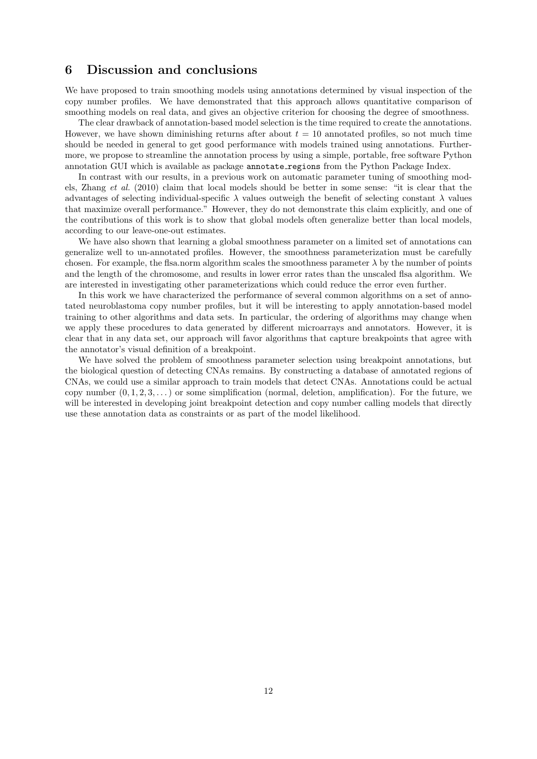### 6 Discussion and conclusions

We have proposed to train smoothing models using annotations determined by visual inspection of the copy number profiles. We have demonstrated that this approach allows quantitative comparison of smoothing models on real data, and gives an objective criterion for choosing the degree of smoothness.

The clear drawback of annotation-based model selection is the time required to create the annotations. However, we have shown diminishing returns after about  $t = 10$  annotated profiles, so not much time should be needed in general to get good performance with models trained using annotations. Furthermore, we propose to streamline the annotation process by using a simple, portable, free software Python annotation GUI which is available as package annotate regions from the Python Package Index.

In contrast with our results, in a previous work on automatic parameter tuning of smoothing models, Zhang *et al.* (2010) claim that local models should be better in some sense: "it is clear that the advantages of selecting individual-specific  $\lambda$  values outweigh the benefit of selecting constant  $\lambda$  values that maximize overall performance." However, they do not demonstrate this claim explicitly, and one of the contributions of this work is to show that global models often generalize better than local models, according to our leave-one-out estimates.

We have also shown that learning a global smoothness parameter on a limited set of annotations can generalize well to un-annotated profiles. However, the smoothness parameterization must be carefully chosen. For example, the flsa.norm algorithm scales the smoothness parameter  $\lambda$  by the number of points and the length of the chromosome, and results in lower error rates than the unscaled flsa algorithm. We are interested in investigating other parameterizations which could reduce the error even further.

In this work we have characterized the performance of several common algorithms on a set of annotated neuroblastoma copy number profiles, but it will be interesting to apply annotation-based model training to other algorithms and data sets. In particular, the ordering of algorithms may change when we apply these procedures to data generated by different microarrays and annotators. However, it is clear that in any data set, our approach will favor algorithms that capture breakpoints that agree with the annotator's visual definition of a breakpoint.

We have solved the problem of smoothness parameter selection using breakpoint annotations, but the biological question of detecting CNAs remains. By constructing a database of annotated regions of CNAs, we could use a similar approach to train models that detect CNAs. Annotations could be actual copy number  $(0, 1, 2, 3, ...)$  or some simplification (normal, deletion, amplification). For the future, we will be interested in developing joint breakpoint detection and copy number calling models that directly use these annotation data as constraints or as part of the model likelihood.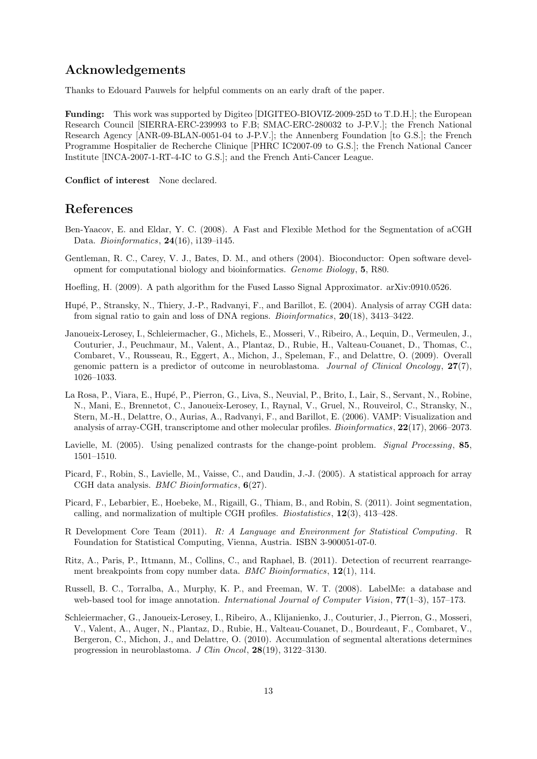## Acknowledgements

Thanks to Edouard Pauwels for helpful comments on an early draft of the paper.

Funding: This work was supported by Digiteo [DIGITEO-BIOVIZ-2009-25D to T.D.H.]; the European Research Council [SIERRA-ERC-239993 to F.B; SMAC-ERC-280032 to J-P.V.]; the French National Research Agency [ANR-09-BLAN-0051-04 to J-P.V.]; the Annenberg Foundation [to G.S.]; the French Programme Hospitalier de Recherche Clinique [PHRC IC2007-09 to G.S.]; the French National Cancer Institute [INCA-2007-1-RT-4-IC to G.S.]; and the French Anti-Cancer League.

Conflict of interest None declared.

### References

- Ben-Yaacov, E. and Eldar, Y. C. (2008). A Fast and Flexible Method for the Segmentation of aCGH Data. *Bioinformatics*, 24(16), i139–i145.
- Gentleman, R. C., Carey, V. J., Bates, D. M., and others (2004). Bioconductor: Open software development for computational biology and bioinformatics. *Genome Biology*, 5, R80.
- Hoefling, H. (2009). A path algorithm for the Fused Lasso Signal Approximator. arXiv:0910.0526.
- Hup´e, P., Stransky, N., Thiery, J.-P., Radvanyi, F., and Barillot, E. (2004). Analysis of array CGH data: from signal ratio to gain and loss of DNA regions. *Bioinformatics*, 20(18), 3413–3422.
- Janoueix-Lerosey, I., Schleiermacher, G., Michels, E., Mosseri, V., Ribeiro, A., Lequin, D., Vermeulen, J., Couturier, J., Peuchmaur, M., Valent, A., Plantaz, D., Rubie, H., Valteau-Couanet, D., Thomas, C., Combaret, V., Rousseau, R., Eggert, A., Michon, J., Speleman, F., and Delattre, O. (2009). Overall genomic pattern is a predictor of outcome in neuroblastoma. *Journal of Clinical Oncology*, 27(7), 1026–1033.
- La Rosa, P., Viara, E., Hupé, P., Pierron, G., Liva, S., Neuvial, P., Brito, I., Lair, S., Servant, N., Robine, N., Mani, E., Brennetot, C., Janoueix-Lerosey, I., Raynal, V., Gruel, N., Rouveirol, C., Stransky, N., Stern, M.-H., Delattre, O., Aurias, A., Radvanyi, F., and Barillot, E. (2006). VAMP: Visualization and analysis of array-CGH, transcriptome and other molecular profiles. *Bioinformatics*, 22(17), 2066–2073.
- Lavielle, M. (2005). Using penalized contrasts for the change-point problem. *Signal Processing*, 85, 1501–1510.
- Picard, F., Robin, S., Lavielle, M., Vaisse, C., and Daudin, J.-J. (2005). A statistical approach for array CGH data analysis. *BMC Bioinformatics*, 6(27).
- Picard, F., Lebarbier, E., Hoebeke, M., Rigaill, G., Thiam, B., and Robin, S. (2011). Joint segmentation, calling, and normalization of multiple CGH profiles. *Biostatistics*, 12(3), 413–428.
- R Development Core Team (2011). *R: A Language and Environment for Statistical Computing*. R Foundation for Statistical Computing, Vienna, Austria. ISBN 3-900051-07-0.
- Ritz, A., Paris, P., Ittmann, M., Collins, C., and Raphael, B. (2011). Detection of recurrent rearrangement breakpoints from copy number data. *BMC Bioinformatics*, 12(1), 114.
- Russell, B. C., Torralba, A., Murphy, K. P., and Freeman, W. T. (2008). LabelMe: a database and web-based tool for image annotation. *International Journal of Computer Vision*, 77(1–3), 157–173.
- Schleiermacher, G., Janoueix-Lerosey, I., Ribeiro, A., Klijanienko, J., Couturier, J., Pierron, G., Mosseri, V., Valent, A., Auger, N., Plantaz, D., Rubie, H., Valteau-Couanet, D., Bourdeaut, F., Combaret, V., Bergeron, C., Michon, J., and Delattre, O. (2010). Accumulation of segmental alterations determines progression in neuroblastoma. *J Clin Oncol*, 28(19), 3122–3130.